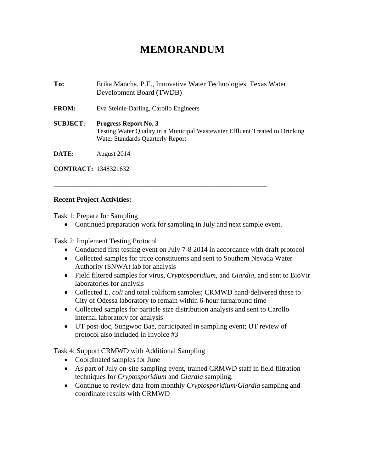## **MEMORANDUM**

**To:** Erika Mancha, P.E., Innovative Water Technologies, Texas Water Development Board (TWDB) **FROM:** Eva Steinle-Darling, Carollo Engineers **SUBJECT: Progress Report No. 3**  Testing Water Quality in a Municipal Wastewater Effluent Treated to Drinking Water Standards Quarterly Report **DATE:** August 2014

**CONTRACT:** 1348321632

## **Recent Project Activities:**

Task 1: Prepare for Sampling

• Continued preparation work for sampling in July and next sample event.

\_\_\_\_\_\_\_\_\_\_\_\_\_\_\_\_\_\_\_\_\_\_\_\_\_\_\_\_\_\_\_\_\_\_\_\_\_\_\_\_\_\_\_\_\_\_\_\_\_\_\_\_\_\_\_\_\_\_\_\_\_\_\_\_\_

Task 2: Implement Testing Protocol

- Conducted first testing event on July 7-8 2014 in accordance with draft protocol
- Collected samples for trace constituents and sent to Southern Nevada Water Authority (SNWA) lab for analysis
- Field filtered samples for virus, *Cryptosporidium*, and *Giardia*, and sent to BioVir laboratories for analysis
- Collected E. *coli* and total coliform samples; CRMWD hand-delivered these to City of Odessa laboratory to remain within 6-hour turnaround time
- Collected samples for particle size distribution analysis and sent to Carollo internal laboratory for analysis
- UT post-doc, Sungwoo Bae, participated in sampling event; UT review of protocol also included in Invoice #3

Task 4: Support CRMWD with Additional Sampling

- Coordinated samples for June
- As part of July on-site sampling event, trained CRMWD staff in field filtration techniques for *Cryptosporidium* and *Giardia* sampling.
- Continue to review data from monthly *Cryptosporidium*/*Giardia* sampling and coordinate results with CRMWD